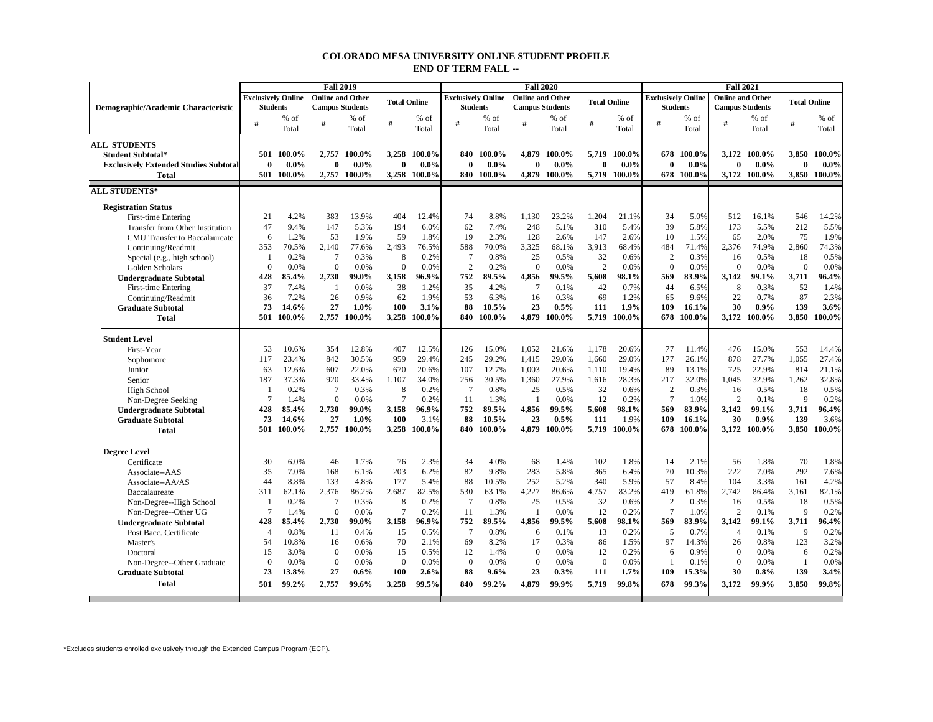## **COLORADO MESA UNIVERSITY ONLINE STUDENT PROFILE END OF TERM FALL --**

| <b>Exclusively Online</b><br><b>Exclusively Online</b><br><b>Exclusively Online</b><br><b>Online and Other</b><br><b>Online and Other</b><br><b>Online and Other</b><br><b>Total Online</b><br><b>Total Online</b><br><b>Total Online</b><br><b>Campus Students</b><br><b>Students</b><br><b>Students</b><br><b>Campus Students</b><br><b>Students</b><br><b>Campus Students</b><br>Demographic/Academic Characteristic<br>% of<br>% of<br>% of<br>% of<br>% of<br>% of<br>% of<br>% of<br>% of<br>#<br>#<br>$\#$<br>#<br>#<br>#<br>#<br>#<br>#<br>Total<br>Total<br>Total<br>Total<br>Total<br>Total<br>Total<br>Total<br>Total<br><b>ALL STUDENTS</b><br>3,258 100.0%<br>100.0%<br>3,850<br>100.0%<br>100.0%<br>2,757 100.0%<br>100.0%<br>4,879 100.0%<br>5,719<br>678<br>100.0%<br>3,172 100.0%<br><b>Student Subtotal*</b><br>501<br>840<br>$0.0\%$<br>$\mathbf{0}$<br>$0.0\%$<br>$\mathbf{0}$<br>$0.0\%$<br>$\mathbf{0}$<br>$0.0\%$<br>$\mathbf{0}$<br>$0.0\%$<br>$\mathbf{0}$<br>$0.0\%$<br>$\mathbf{0}$<br>$0.0\%$<br>$\mathbf{0}$<br>$0.0\%$<br>0<br>$0.0\%$<br>$\mathbf{0}$<br><b>Exclusively Extended Studies Subtotal</b><br>501 100.0%<br>2.757 100.0%<br>3.258 100.0%<br>840 100.0%<br>4.879 100.0%<br>5.719 100.0%<br>678 100.0%<br>3.172 100.0%<br>3.850 100.0%<br><b>Total</b><br><b>ALL STUDENTS*</b><br><b>Registration Status</b><br>13.9%<br>8.8%<br>23.2%<br>21<br>4.2%<br>383<br>404<br>12.4%<br>74<br>1,130<br>1,204<br>21.1%<br>34<br>5.0%<br>512<br>16.1%<br>546<br>14.2%<br>First-time Entering<br>47<br>5.3%<br>6.0%<br>310<br>5.8%<br>212<br>5.5%<br>9.4%<br>147<br>194<br>62<br>7.4%<br>248<br>5.1%<br>5.4%<br>39<br>173<br>5.5%<br>Transfer from Other Institution<br>1.2%<br>75<br>1.9%<br>53<br>1.9%<br>59<br>1.8%<br>19<br>2.3%<br>128<br>2.6%<br>147<br>2.6%<br>10<br>1.5%<br>65<br>2.0%<br>6<br>CMU Transfer to Baccalaureate<br>74.3%<br>70.5%<br>2,140<br>77.6%<br>2,493<br>76.5%<br>588<br>70.0%<br>3,325<br>68.1%<br>3,913<br>68.4%<br>484<br>71.4%<br>2,376<br>74.9%<br>2,860<br>Continuing/Readmit<br>353<br>0.2%<br>$7\phantom{.0}$<br>0.3%<br>8<br>0.2%<br>$\overline{7}$<br>0.8%<br>25<br>0.5%<br>32<br>$\overline{2}$<br>0.3%<br>0.5%<br>18<br>0.5%<br>0.6%<br>16<br>Special (e.g., high school)<br>-1 |
|-----------------------------------------------------------------------------------------------------------------------------------------------------------------------------------------------------------------------------------------------------------------------------------------------------------------------------------------------------------------------------------------------------------------------------------------------------------------------------------------------------------------------------------------------------------------------------------------------------------------------------------------------------------------------------------------------------------------------------------------------------------------------------------------------------------------------------------------------------------------------------------------------------------------------------------------------------------------------------------------------------------------------------------------------------------------------------------------------------------------------------------------------------------------------------------------------------------------------------------------------------------------------------------------------------------------------------------------------------------------------------------------------------------------------------------------------------------------------------------------------------------------------------------------------------------------------------------------------------------------------------------------------------------------------------------------------------------------------------------------------------------------------------------------------------------------------------------------------------------------------------------------------------------------------------------------------------------------------------------------------------------------------------------------------------------------------------------------------------------------------------------------------------------------------------------------------------------------------------------------------------|
|                                                                                                                                                                                                                                                                                                                                                                                                                                                                                                                                                                                                                                                                                                                                                                                                                                                                                                                                                                                                                                                                                                                                                                                                                                                                                                                                                                                                                                                                                                                                                                                                                                                                                                                                                                                                                                                                                                                                                                                                                                                                                                                                                                                                                                                     |
|                                                                                                                                                                                                                                                                                                                                                                                                                                                                                                                                                                                                                                                                                                                                                                                                                                                                                                                                                                                                                                                                                                                                                                                                                                                                                                                                                                                                                                                                                                                                                                                                                                                                                                                                                                                                                                                                                                                                                                                                                                                                                                                                                                                                                                                     |
|                                                                                                                                                                                                                                                                                                                                                                                                                                                                                                                                                                                                                                                                                                                                                                                                                                                                                                                                                                                                                                                                                                                                                                                                                                                                                                                                                                                                                                                                                                                                                                                                                                                                                                                                                                                                                                                                                                                                                                                                                                                                                                                                                                                                                                                     |
|                                                                                                                                                                                                                                                                                                                                                                                                                                                                                                                                                                                                                                                                                                                                                                                                                                                                                                                                                                                                                                                                                                                                                                                                                                                                                                                                                                                                                                                                                                                                                                                                                                                                                                                                                                                                                                                                                                                                                                                                                                                                                                                                                                                                                                                     |
|                                                                                                                                                                                                                                                                                                                                                                                                                                                                                                                                                                                                                                                                                                                                                                                                                                                                                                                                                                                                                                                                                                                                                                                                                                                                                                                                                                                                                                                                                                                                                                                                                                                                                                                                                                                                                                                                                                                                                                                                                                                                                                                                                                                                                                                     |
|                                                                                                                                                                                                                                                                                                                                                                                                                                                                                                                                                                                                                                                                                                                                                                                                                                                                                                                                                                                                                                                                                                                                                                                                                                                                                                                                                                                                                                                                                                                                                                                                                                                                                                                                                                                                                                                                                                                                                                                                                                                                                                                                                                                                                                                     |
|                                                                                                                                                                                                                                                                                                                                                                                                                                                                                                                                                                                                                                                                                                                                                                                                                                                                                                                                                                                                                                                                                                                                                                                                                                                                                                                                                                                                                                                                                                                                                                                                                                                                                                                                                                                                                                                                                                                                                                                                                                                                                                                                                                                                                                                     |
|                                                                                                                                                                                                                                                                                                                                                                                                                                                                                                                                                                                                                                                                                                                                                                                                                                                                                                                                                                                                                                                                                                                                                                                                                                                                                                                                                                                                                                                                                                                                                                                                                                                                                                                                                                                                                                                                                                                                                                                                                                                                                                                                                                                                                                                     |
|                                                                                                                                                                                                                                                                                                                                                                                                                                                                                                                                                                                                                                                                                                                                                                                                                                                                                                                                                                                                                                                                                                                                                                                                                                                                                                                                                                                                                                                                                                                                                                                                                                                                                                                                                                                                                                                                                                                                                                                                                                                                                                                                                                                                                                                     |
|                                                                                                                                                                                                                                                                                                                                                                                                                                                                                                                                                                                                                                                                                                                                                                                                                                                                                                                                                                                                                                                                                                                                                                                                                                                                                                                                                                                                                                                                                                                                                                                                                                                                                                                                                                                                                                                                                                                                                                                                                                                                                                                                                                                                                                                     |
|                                                                                                                                                                                                                                                                                                                                                                                                                                                                                                                                                                                                                                                                                                                                                                                                                                                                                                                                                                                                                                                                                                                                                                                                                                                                                                                                                                                                                                                                                                                                                                                                                                                                                                                                                                                                                                                                                                                                                                                                                                                                                                                                                                                                                                                     |
|                                                                                                                                                                                                                                                                                                                                                                                                                                                                                                                                                                                                                                                                                                                                                                                                                                                                                                                                                                                                                                                                                                                                                                                                                                                                                                                                                                                                                                                                                                                                                                                                                                                                                                                                                                                                                                                                                                                                                                                                                                                                                                                                                                                                                                                     |
|                                                                                                                                                                                                                                                                                                                                                                                                                                                                                                                                                                                                                                                                                                                                                                                                                                                                                                                                                                                                                                                                                                                                                                                                                                                                                                                                                                                                                                                                                                                                                                                                                                                                                                                                                                                                                                                                                                                                                                                                                                                                                                                                                                                                                                                     |
|                                                                                                                                                                                                                                                                                                                                                                                                                                                                                                                                                                                                                                                                                                                                                                                                                                                                                                                                                                                                                                                                                                                                                                                                                                                                                                                                                                                                                                                                                                                                                                                                                                                                                                                                                                                                                                                                                                                                                                                                                                                                                                                                                                                                                                                     |
|                                                                                                                                                                                                                                                                                                                                                                                                                                                                                                                                                                                                                                                                                                                                                                                                                                                                                                                                                                                                                                                                                                                                                                                                                                                                                                                                                                                                                                                                                                                                                                                                                                                                                                                                                                                                                                                                                                                                                                                                                                                                                                                                                                                                                                                     |
|                                                                                                                                                                                                                                                                                                                                                                                                                                                                                                                                                                                                                                                                                                                                                                                                                                                                                                                                                                                                                                                                                                                                                                                                                                                                                                                                                                                                                                                                                                                                                                                                                                                                                                                                                                                                                                                                                                                                                                                                                                                                                                                                                                                                                                                     |
| $\Omega$<br>$\overline{2}$<br>$\theta$<br>0.0%<br>2<br>0.0%<br>$\Omega$<br>0.0%<br>$\Omega$<br>0.0%<br>Golden Scholars<br>$\Omega$<br>0.0%<br>0.0%<br>0.2%<br>$\Omega$<br>0.0%<br>$\Omega$<br>0.0%                                                                                                                                                                                                                                                                                                                                                                                                                                                                                                                                                                                                                                                                                                                                                                                                                                                                                                                                                                                                                                                                                                                                                                                                                                                                                                                                                                                                                                                                                                                                                                                                                                                                                                                                                                                                                                                                                                                                                                                                                                                  |
| 428<br>2,730<br>99.0%<br>3,158<br>96.9%<br>752<br>89.5%<br>4,856<br>99.5%<br>5.608<br>98.1%<br>569<br>83.9%<br>3,142<br>99.1%<br>3,711<br>96.4%<br>85.4%<br><b>Undergraduate Subtotal</b>                                                                                                                                                                                                                                                                                                                                                                                                                                                                                                                                                                                                                                                                                                                                                                                                                                                                                                                                                                                                                                                                                                                                                                                                                                                                                                                                                                                                                                                                                                                                                                                                                                                                                                                                                                                                                                                                                                                                                                                                                                                           |
| 37<br>38<br>35<br>42<br>8<br>0.3%<br>52<br>1.4%<br>7.4%<br>$\mathbf{1}$<br>0.0%<br>1.2%<br>4.2%<br>7<br>0.1%<br>0.7%<br>44<br>6.5%<br><b>First-time Entering</b>                                                                                                                                                                                                                                                                                                                                                                                                                                                                                                                                                                                                                                                                                                                                                                                                                                                                                                                                                                                                                                                                                                                                                                                                                                                                                                                                                                                                                                                                                                                                                                                                                                                                                                                                                                                                                                                                                                                                                                                                                                                                                    |
| 87<br>62<br>53<br>69<br>22<br>0.7%<br>2.3%<br>36<br>7.2%<br>26<br>0.9%<br>1.9%<br>6.3%<br>16<br>0.3%<br>1.2%<br>65<br>9.6%<br>Continuing/Readmit                                                                                                                                                                                                                                                                                                                                                                                                                                                                                                                                                                                                                                                                                                                                                                                                                                                                                                                                                                                                                                                                                                                                                                                                                                                                                                                                                                                                                                                                                                                                                                                                                                                                                                                                                                                                                                                                                                                                                                                                                                                                                                    |
| 73<br>14.6%<br>27<br>100<br>3.1%<br>88<br>10.5%<br>23<br>0.5%<br>1.9%<br>30<br>0.9%<br>139<br>3.6%<br>1.0%<br>111<br>109<br>16.1%<br><b>Graduate Subtotal</b>                                                                                                                                                                                                                                                                                                                                                                                                                                                                                                                                                                                                                                                                                                                                                                                                                                                                                                                                                                                                                                                                                                                                                                                                                                                                                                                                                                                                                                                                                                                                                                                                                                                                                                                                                                                                                                                                                                                                                                                                                                                                                       |
| 678<br>3,172 100.0%<br>3,850<br>100.0%<br>501<br>100.0%<br>2,757 100.0%<br>3,258<br>100.0%<br>840<br>100.0%<br>4,879 100.0%<br>5,719 100.0%<br>100.0%<br><b>Total</b>                                                                                                                                                                                                                                                                                                                                                                                                                                                                                                                                                                                                                                                                                                                                                                                                                                                                                                                                                                                                                                                                                                                                                                                                                                                                                                                                                                                                                                                                                                                                                                                                                                                                                                                                                                                                                                                                                                                                                                                                                                                                               |
| <b>Student Level</b>                                                                                                                                                                                                                                                                                                                                                                                                                                                                                                                                                                                                                                                                                                                                                                                                                                                                                                                                                                                                                                                                                                                                                                                                                                                                                                                                                                                                                                                                                                                                                                                                                                                                                                                                                                                                                                                                                                                                                                                                                                                                                                                                                                                                                                |
| 12.5%<br>53<br>10.6%<br>12.8%<br>407<br>15.0%<br>1,052<br>21.6%<br>1.178<br>20.6%<br>476<br>15.0%<br>553<br>First-Year<br>354<br>126<br>77<br>11.4%<br>14.4%                                                                                                                                                                                                                                                                                                                                                                                                                                                                                                                                                                                                                                                                                                                                                                                                                                                                                                                                                                                                                                                                                                                                                                                                                                                                                                                                                                                                                                                                                                                                                                                                                                                                                                                                                                                                                                                                                                                                                                                                                                                                                        |
| 23.4%<br>30.5%<br>959<br>29.4%<br>29.2%<br>29.0%<br>29.0%<br>878<br>27.7%<br>1.055<br>27.4%<br>117<br>842<br>245<br>1,415<br>1,660<br>177<br>26.1%<br>Sophomore                                                                                                                                                                                                                                                                                                                                                                                                                                                                                                                                                                                                                                                                                                                                                                                                                                                                                                                                                                                                                                                                                                                                                                                                                                                                                                                                                                                                                                                                                                                                                                                                                                                                                                                                                                                                                                                                                                                                                                                                                                                                                     |
| 725<br>22.9%<br>814<br>21.1%<br>63<br>12.6%<br>607<br>22.0%<br>670<br>20.6%<br>107<br>12.7%<br>1,003<br>20.6%<br>1,110<br>19.4%<br>89<br>13.1%<br>Junior                                                                                                                                                                                                                                                                                                                                                                                                                                                                                                                                                                                                                                                                                                                                                                                                                                                                                                                                                                                                                                                                                                                                                                                                                                                                                                                                                                                                                                                                                                                                                                                                                                                                                                                                                                                                                                                                                                                                                                                                                                                                                            |
| 37.3%<br>33.4%<br>34.0%<br>30.5%<br>27.9%<br>28.3%<br>32.0%<br>32.9%<br>32.8%<br>187<br>920<br>1,107<br>256<br>1,360<br>1,616<br>217<br>1,045<br>1,262<br>Senior                                                                                                                                                                                                                                                                                                                                                                                                                                                                                                                                                                                                                                                                                                                                                                                                                                                                                                                                                                                                                                                                                                                                                                                                                                                                                                                                                                                                                                                                                                                                                                                                                                                                                                                                                                                                                                                                                                                                                                                                                                                                                    |
| 0.2%<br>$7\phantom{.0}$<br>8<br>0.2%<br>$7\phantom{.0}$<br>0.8%<br>25<br>0.5%<br>32<br>$\overline{2}$<br>18<br>0.5%<br>0.3%<br>0.6%<br>0.3%<br>0.5%<br><b>High School</b><br>16                                                                                                                                                                                                                                                                                                                                                                                                                                                                                                                                                                                                                                                                                                                                                                                                                                                                                                                                                                                                                                                                                                                                                                                                                                                                                                                                                                                                                                                                                                                                                                                                                                                                                                                                                                                                                                                                                                                                                                                                                                                                     |
| $\overline{7}$<br>$7\phantom{.0}$<br>$\overline{2}$<br>0.2%<br>$\overline{7}$<br>1.4%<br>$\overline{0}$<br>0.0%<br>0.2%<br>11<br>1.3%<br>0.0%<br>12<br>0.2%<br>1.0%<br>0.1%<br>9<br>$\mathbf{1}$<br>Non-Degree Seeking                                                                                                                                                                                                                                                                                                                                                                                                                                                                                                                                                                                                                                                                                                                                                                                                                                                                                                                                                                                                                                                                                                                                                                                                                                                                                                                                                                                                                                                                                                                                                                                                                                                                                                                                                                                                                                                                                                                                                                                                                              |
| 89.5%<br>99.5%<br>5,608<br>98.1%<br>99.1%<br>3,711<br>96.4%<br>428<br>85.4%<br>2,730<br>99.0%<br>3,158<br>96.9%<br>752<br>4,856<br>569<br>83.9%<br>3,142<br><b>Undergraduate Subtotal</b>                                                                                                                                                                                                                                                                                                                                                                                                                                                                                                                                                                                                                                                                                                                                                                                                                                                                                                                                                                                                                                                                                                                                                                                                                                                                                                                                                                                                                                                                                                                                                                                                                                                                                                                                                                                                                                                                                                                                                                                                                                                           |
| 30<br>73<br>14.6%<br>27<br>$1.0\%$<br><b>100</b><br>88<br>10.5%<br>23<br>$0.5\%$<br>111<br>1.9%<br>109<br>16.1%<br>$0.9\%$<br>139<br>3.1%<br>3.6%<br><b>Graduate Subtotal</b>                                                                                                                                                                                                                                                                                                                                                                                                                                                                                                                                                                                                                                                                                                                                                                                                                                                                                                                                                                                                                                                                                                                                                                                                                                                                                                                                                                                                                                                                                                                                                                                                                                                                                                                                                                                                                                                                                                                                                                                                                                                                       |
| 501<br>100.0%<br>2,757 100.0%<br>3.258<br>100.0%<br>840 100.0%<br>4,879 100.0%<br>5.719 100.0%<br>678<br>100.0%<br>3,172 100.0%<br>3.850<br>100.0%<br><b>Total</b>                                                                                                                                                                                                                                                                                                                                                                                                                                                                                                                                                                                                                                                                                                                                                                                                                                                                                                                                                                                                                                                                                                                                                                                                                                                                                                                                                                                                                                                                                                                                                                                                                                                                                                                                                                                                                                                                                                                                                                                                                                                                                  |
|                                                                                                                                                                                                                                                                                                                                                                                                                                                                                                                                                                                                                                                                                                                                                                                                                                                                                                                                                                                                                                                                                                                                                                                                                                                                                                                                                                                                                                                                                                                                                                                                                                                                                                                                                                                                                                                                                                                                                                                                                                                                                                                                                                                                                                                     |
| <b>Degree Level</b>                                                                                                                                                                                                                                                                                                                                                                                                                                                                                                                                                                                                                                                                                                                                                                                                                                                                                                                                                                                                                                                                                                                                                                                                                                                                                                                                                                                                                                                                                                                                                                                                                                                                                                                                                                                                                                                                                                                                                                                                                                                                                                                                                                                                                                 |
| 30<br>6.0%<br>1.7%<br>2.3%<br>4.0%<br>102<br>1.8%<br>2.1%<br>1.8%<br>70<br>1.8%<br>Certificate<br>46<br>76<br>34<br>68<br>1.4%<br>14<br>56                                                                                                                                                                                                                                                                                                                                                                                                                                                                                                                                                                                                                                                                                                                                                                                                                                                                                                                                                                                                                                                                                                                                                                                                                                                                                                                                                                                                                                                                                                                                                                                                                                                                                                                                                                                                                                                                                                                                                                                                                                                                                                          |
| 35<br>203<br>82<br>292<br>7.0%<br>168<br>6.1%<br>6.2%<br>9.8%<br>283<br>5.8%<br>365<br>6.4%<br>70<br>10.3%<br>222<br>7.0%<br>7.6%<br>Associate--AAS                                                                                                                                                                                                                                                                                                                                                                                                                                                                                                                                                                                                                                                                                                                                                                                                                                                                                                                                                                                                                                                                                                                                                                                                                                                                                                                                                                                                                                                                                                                                                                                                                                                                                                                                                                                                                                                                                                                                                                                                                                                                                                 |
| 44<br>177<br>88<br>5.9%<br>104<br>4.2%<br>8.8%<br>133<br>4.8%<br>5.4%<br>10.5%<br>252<br>5.2%<br>340<br>57<br>8.4%<br>3.3%<br>161<br>Associate--AA/AS                                                                                                                                                                                                                                                                                                                                                                                                                                                                                                                                                                                                                                                                                                                                                                                                                                                                                                                                                                                                                                                                                                                                                                                                                                                                                                                                                                                                                                                                                                                                                                                                                                                                                                                                                                                                                                                                                                                                                                                                                                                                                               |
| 2,376<br>82.5%<br>530<br>63.1%<br>4,227<br>83.2%<br>2,742<br>82.1%<br>311<br>62.1%<br>86.2%<br>2,687<br>86.6%<br>4,757<br>419<br>61.8%<br>86.4%<br>3,161<br>Baccalaureate                                                                                                                                                                                                                                                                                                                                                                                                                                                                                                                                                                                                                                                                                                                                                                                                                                                                                                                                                                                                                                                                                                                                                                                                                                                                                                                                                                                                                                                                                                                                                                                                                                                                                                                                                                                                                                                                                                                                                                                                                                                                           |
| 8<br>$7\phantom{.0}$<br>25<br>32<br>$\overline{2}$<br>18<br>0.5%<br>0.2%<br>$7\phantom{.0}$<br>0.3%<br>0.2%<br>0.8%<br>0.5%<br>0.6%<br>0.3%<br>16<br>0.5%<br>Non-Degree--High School                                                                                                                                                                                                                                                                                                                                                                                                                                                                                                                                                                                                                                                                                                                                                                                                                                                                                                                                                                                                                                                                                                                                                                                                                                                                                                                                                                                                                                                                                                                                                                                                                                                                                                                                                                                                                                                                                                                                                                                                                                                                |
| $\overline{7}$<br>$\overline{0}$<br>$\overline{7}$<br>0.2%<br>0.0%<br>0.2%<br>0.0%<br>12<br>0.2%<br>7<br>2<br>9<br>1.4%<br>11<br>1.3%<br>$\mathbf{1}$<br>1.0%<br>0.1%<br>Non-Degree--Other UG                                                                                                                                                                                                                                                                                                                                                                                                                                                                                                                                                                                                                                                                                                                                                                                                                                                                                                                                                                                                                                                                                                                                                                                                                                                                                                                                                                                                                                                                                                                                                                                                                                                                                                                                                                                                                                                                                                                                                                                                                                                       |
| 2,730<br>96.9%<br>89.5%<br>99.5%<br>98.1%<br>96.4%<br>428<br>85.4%<br>99.0%<br>3,158<br>752<br>4,856<br>5,608<br>569<br>83.9%<br>3,142<br>99.1%<br>3,711<br><b>Undergraduate Subtotal</b>                                                                                                                                                                                                                                                                                                                                                                                                                                                                                                                                                                                                                                                                                                                                                                                                                                                                                                                                                                                                                                                                                                                                                                                                                                                                                                                                                                                                                                                                                                                                                                                                                                                                                                                                                                                                                                                                                                                                                                                                                                                           |
| 0.8%<br>0.4%<br>0.5%<br>$7\phantom{.0}$<br>0.8%<br>0.1%<br>13<br>0.2%<br>5<br>0.7%<br>0.1%<br>9<br>0.2%<br>Post Bacc. Certificate<br>11<br>15<br>6<br>$\overline{4}$<br>$\overline{4}$                                                                                                                                                                                                                                                                                                                                                                                                                                                                                                                                                                                                                                                                                                                                                                                                                                                                                                                                                                                                                                                                                                                                                                                                                                                                                                                                                                                                                                                                                                                                                                                                                                                                                                                                                                                                                                                                                                                                                                                                                                                              |
| 10.8%<br>0.6%<br>70<br>2.1%<br>8.2%<br>0.3%<br>86<br>1.5%<br>14.3%<br>0.8%<br>123<br>3.2%<br>54<br>16<br>69<br>17<br>97<br>26<br>Master's                                                                                                                                                                                                                                                                                                                                                                                                                                                                                                                                                                                                                                                                                                                                                                                                                                                                                                                                                                                                                                                                                                                                                                                                                                                                                                                                                                                                                                                                                                                                                                                                                                                                                                                                                                                                                                                                                                                                                                                                                                                                                                           |
| 15<br>12<br>12<br>6<br>0.9%<br>0.2%<br>15<br>3.0%<br>$\mathbf{0}$<br>0.0%<br>0.5%<br>1.4%<br>$\overline{0}$<br>0.0%<br>0.2%<br>$\overline{0}$<br>0.0%<br>6<br>Doctoral                                                                                                                                                                                                                                                                                                                                                                                                                                                                                                                                                                                                                                                                                                                                                                                                                                                                                                                                                                                                                                                                                                                                                                                                                                                                                                                                                                                                                                                                                                                                                                                                                                                                                                                                                                                                                                                                                                                                                                                                                                                                              |
| $\theta$<br>0.0%<br>$\overline{0}$<br>$\mathbf{0}$<br>$\overline{0}$<br>$\theta$<br>$\mathbf{0}$<br>0.0%<br>$\Omega$<br>0.0%<br>Non-Degree--Other Graduate<br>0.0%<br>0.0%<br>0.0%<br>0.0%<br>0.1%<br>0.0%<br>$\mathbf{1}$<br>$\mathbf{1}$                                                                                                                                                                                                                                                                                                                                                                                                                                                                                                                                                                                                                                                                                                                                                                                                                                                                                                                                                                                                                                                                                                                                                                                                                                                                                                                                                                                                                                                                                                                                                                                                                                                                                                                                                                                                                                                                                                                                                                                                          |
| 30<br>139<br>73<br>13.8%<br>27<br>0.6%<br>100<br>2.6%<br>88<br>9.6%<br>23<br>0.3%<br>111<br>1.7%<br>109<br>15.3%<br>$0.8\%$<br>3.4%<br><b>Graduate Subtotal</b>                                                                                                                                                                                                                                                                                                                                                                                                                                                                                                                                                                                                                                                                                                                                                                                                                                                                                                                                                                                                                                                                                                                                                                                                                                                                                                                                                                                                                                                                                                                                                                                                                                                                                                                                                                                                                                                                                                                                                                                                                                                                                     |
| <b>Total</b><br>99.2%<br>99.3%<br>99.9%<br>3,850<br>99.8%<br>501<br>99.2%<br>2,757<br>99.6%<br>3,258<br>99.5%<br>840<br>4,879<br>99.9%<br>5,719<br>99.8%<br>678<br>3,172                                                                                                                                                                                                                                                                                                                                                                                                                                                                                                                                                                                                                                                                                                                                                                                                                                                                                                                                                                                                                                                                                                                                                                                                                                                                                                                                                                                                                                                                                                                                                                                                                                                                                                                                                                                                                                                                                                                                                                                                                                                                            |
|                                                                                                                                                                                                                                                                                                                                                                                                                                                                                                                                                                                                                                                                                                                                                                                                                                                                                                                                                                                                                                                                                                                                                                                                                                                                                                                                                                                                                                                                                                                                                                                                                                                                                                                                                                                                                                                                                                                                                                                                                                                                                                                                                                                                                                                     |

\*Excludes students enrolled exclusively through the Extended Campus Program (ECP).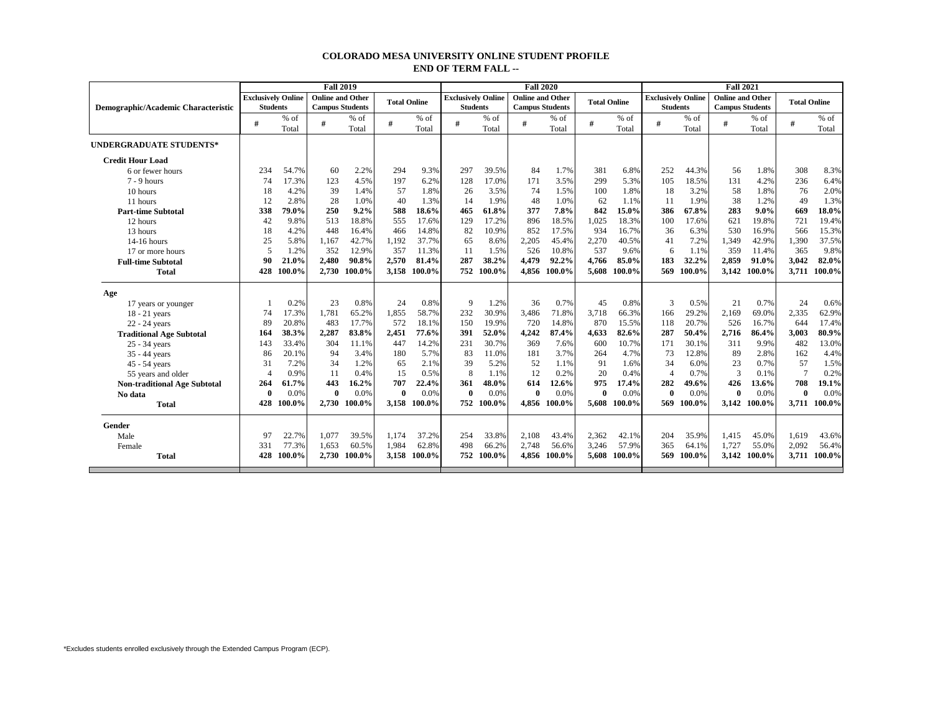## **COLORADO MESA UNIVERSITY ONLINE STUDENT PROFILE END OF TERM FALL --**

|                                     |                                              |        | <b>Fall 2019</b>                                  |              |                     |              | <b>Fall 2020</b>                             |            |                                                   |              |                     |              |                                              | <b>Fall 2021</b> |                                                   |              |                     |              |  |  |
|-------------------------------------|----------------------------------------------|--------|---------------------------------------------------|--------------|---------------------|--------------|----------------------------------------------|------------|---------------------------------------------------|--------------|---------------------|--------------|----------------------------------------------|------------------|---------------------------------------------------|--------------|---------------------|--------------|--|--|
|                                     | <b>Exclusively Online</b><br><b>Students</b> |        | <b>Online and Other</b><br><b>Campus Students</b> |              | <b>Total Online</b> |              | <b>Exclusively Online</b><br><b>Students</b> |            | <b>Online and Other</b><br><b>Campus Students</b> |              | <b>Total Online</b> |              | <b>Exclusively Online</b><br><b>Students</b> |                  | <b>Online and Other</b><br><b>Campus Students</b> |              | <b>Total Online</b> |              |  |  |
| Demographic/Academic Characteristic |                                              | $%$ of |                                                   | $%$ of       |                     | $%$ of       |                                              | $%$ of     |                                                   | $%$ of       |                     | $%$ of       |                                              | $%$ of           |                                                   | $%$ of       |                     | $%$ of       |  |  |
|                                     | #                                            | Total  | #                                                 | Total        | #                   | Total        | #                                            | Total      | #                                                 | Total        | #                   | Total        | #                                            | Total            | #                                                 | Total        | #                   | Total        |  |  |
|                                     |                                              |        |                                                   |              |                     |              |                                              |            |                                                   |              |                     |              |                                              |                  |                                                   |              |                     |              |  |  |
| <b>UNDERGRADUATE STUDENTS*</b>      |                                              |        |                                                   |              |                     |              |                                              |            |                                                   |              |                     |              |                                              |                  |                                                   |              |                     |              |  |  |
| <b>Credit Hour Load</b>             |                                              |        |                                                   |              |                     |              |                                              |            |                                                   |              |                     |              |                                              |                  |                                                   |              |                     |              |  |  |
| 6 or fewer hours                    | 234                                          | 54.7%  | 60                                                | 2.2%         | 294                 | 9.3%         | 297                                          | 39.5%      | 84                                                | 1.7%         | 381                 | 6.8%         | 252                                          | 44.3%            | 56                                                | 1.8%         | 308                 | 8.3%         |  |  |
| $7 - 9$ hours                       | 74                                           | 17.3%  | 123                                               | 4.5%         | 197                 | 6.2%         | 128                                          | 17.0%      | 171                                               | 3.5%         | 299                 | 5.3%         | 105                                          | 18.5%            | 131                                               | 4.2%         | 236                 | 6.4%         |  |  |
| 10 hours                            | 18                                           | 4.2%   | 39                                                | 1.4%         | 57                  | 1.8%         | 26                                           | 3.5%       | 74                                                | 1.5%         | 100                 | 1.8%         | 18                                           | 3.2%             | 58                                                | 1.8%         | 76                  | 2.0%         |  |  |
| 11 hours                            | 12                                           | 2.8%   | 28                                                | 1.0%         | 40                  | 1.3%         | 14                                           | 1.9%       | 48                                                | 1.0%         | 62                  | 1.1%         | 11                                           | 1.9%             | 38                                                | 1.2%         | 49                  | 1.3%         |  |  |
| <b>Part-time Subtotal</b>           | 338                                          | 79.0%  | 250                                               | 9.2%         | 588                 | 18.6%        | 465                                          | 61.8%      | 377                                               | 7.8%         | 842                 | 15.0%        | 386                                          | 67.8%            | 283                                               | $9.0\%$      | 669                 | 18.0%        |  |  |
| 12 hours                            | 42                                           | 9.8%   | 513                                               | 18.8%        | 555                 | 17.6%        | 129                                          | 17.2%      | 896                                               | 18.5%        | 1,025               | 18.3%        | 100                                          | 17.6%            | 621                                               | 19.8%        | 721                 | 19.4%        |  |  |
| 13 hours                            | 18                                           | 4.2%   | 448                                               | 16.4%        | 466                 | 14.8%        | 82                                           | 10.9%      | 852                                               | 17.5%        | 934                 | 16.7%        | 36                                           | 6.3%             | 530                                               | 16.9%        | 566                 | 15.3%        |  |  |
| $14-16$ hours                       | 25                                           | 5.8%   | 1,167                                             | 42.7%        | 1,192               | 37.7%        | 65                                           | 8.6%       | 2,205                                             | 45.4%        | 2,270               | 40.5%        | 41                                           | 7.2%             | 1,349                                             | 42.9%        | 1,390               | 37.5%        |  |  |
| 17 or more hours                    | 5                                            | 1.2%   | 352                                               | 12.9%        | 357                 | 11.3%        | 11                                           | 1.5%       | 526                                               | 10.8%        | 537                 | 9.6%         | 6                                            | 1.1%             | 359                                               | 11.4%        | 365                 | 9.8%         |  |  |
| <b>Full-time Subtotal</b>           | 90                                           | 21.0%  | 2,480                                             | 90.8%        | 2,570               | 81.4%        | 287                                          | 38.2%      | 4.479                                             | 92.2%        | 4.766               | 85.0%        | 183                                          | 32.2%            | 2,859                                             | 91.0%        | 3.042               | 82.0%        |  |  |
| <b>Total</b>                        | 428                                          | 100.0% | 2,730                                             | 100.0%       | 3,158               | 100.0%       | 752                                          | 100.0%     | 4,856                                             | 100.0%       | 5,608               | 100.0%       | 569                                          | 100.0%           | 3,142                                             | 100.0%       | 3,711               | 100.0%       |  |  |
| Age                                 |                                              |        |                                                   |              |                     |              |                                              |            |                                                   |              |                     |              |                                              |                  |                                                   |              |                     |              |  |  |
| 17 years or younger                 |                                              | 0.2%   | 23                                                | 0.8%         | 24                  | 0.8%         | 9                                            | 1.2%       | 36                                                | 0.7%         | 45                  | 0.8%         | 3                                            | 0.5%             | 21                                                | 0.7%         | 24                  | 0.6%         |  |  |
| 18 - 21 years                       | 74                                           | 17.3%  | 1,781                                             | 65.2%        | 1,855               | 58.7%        | 232                                          | 30.9%      | 3,486                                             | 71.8%        | 3,718               | 66.3%        | 166                                          | 29.2%            | 2,169                                             | 69.0%        | 2,335               | 62.9%        |  |  |
| 22 - 24 years                       | 89                                           | 20.8%  | 483                                               | 17.7%        | 572                 | 18.1%        | 150                                          | 19.9%      | 720                                               | 14.8%        | 870                 | 15.5%        | 118                                          | 20.7%            | 526                                               | 16.7%        | 644                 | 17.4%        |  |  |
| <b>Traditional Age Subtotal</b>     | 164                                          | 38.3%  | 2,287                                             | 83.8%        | 2,451               | 77.6%        | 391                                          | 52.0%      | 4,242                                             | 87.4%        | 4,633               | 82.6%        | 287                                          | 50.4%            | 2,716                                             | 86.4%        | 3,003               | 80.9%        |  |  |
| 25 - 34 years                       | 143                                          | 33.4%  | 304                                               | 11.1%        | 447                 | 14.2%        | 231                                          | 30.7%      | 369                                               | 7.6%         | 600                 | 10.7%        | 171                                          | 30.1%            | 311                                               | 9.9%         | 482                 | 13.0%        |  |  |
| 35 - 44 years                       | 86                                           | 20.1%  | 94                                                | 3.4%         | 180                 | 5.7%         | 83                                           | 11.0%      | 181                                               | 3.7%         | 264                 | 4.7%         | 73                                           | 12.8%            | 89                                                | 2.8%         | 162                 | 4.4%         |  |  |
| 45 - 54 years                       | 31                                           | 7.2%   | 34                                                | 1.2%         | 65                  | 2.1%         | 39                                           | 5.2%       | 52                                                | 1.1%         | 91                  | 1.6%         | 34                                           | 6.0%             | 23                                                | 0.7%         | 57                  | 1.5%         |  |  |
| 55 years and older                  |                                              | 0.9%   | 11                                                | 0.4%         | 15                  | 0.5%         | $\mathbf{8}$                                 | 1.1%       | 12                                                | 0.2%         | 20                  | 0.4%         | $\overline{4}$                               | 0.7%             | 3                                                 | 0.1%         |                     | 0.2%         |  |  |
| <b>Non-traditional Age Subtotal</b> | 264                                          | 61.7%  | 443                                               | 16.2%        | 707                 | 22.4%        | 361                                          | 48.0%      | 614                                               | 12.6%        | 975                 | 17.4%        | 282                                          | 49.6%            | 426                                               | 13.6%        | 708                 | 19.1%        |  |  |
| No data                             | 0                                            | 0.0%   | $\mathbf{0}$                                      | 0.0%         | $\mathbf{0}$        | 0.0%         | $\mathbf{0}$                                 | 0.0%       | $\Omega$                                          | 0.0%         | $\mathbf{0}$        | 0.0%         | $\mathbf{0}$                                 | 0.0%             | $\mathbf{0}$                                      | 0.0%         | $\theta$            | 0.0%         |  |  |
| <b>Total</b>                        | 428                                          | 100.0% |                                                   | 2,730 100.0% |                     | 3,158 100.0% | 752                                          | 100.0%     |                                                   | 4,856 100.0% |                     | 5,608 100.0% | 569                                          | 100.0%           | 3,142                                             | $100.0\%$    | 3,711               | 100.0%       |  |  |
| Gender                              |                                              |        |                                                   |              |                     |              |                                              |            |                                                   |              |                     |              |                                              |                  |                                                   |              |                     |              |  |  |
| Male                                | 97                                           | 22.7%  | 1,077                                             | 39.5%        | 1,174               | 37.2%        | 254                                          | 33.8%      | 2,108                                             | 43.4%        | 2,362               | 42.1%        | 204                                          | 35.9%            | 1,415                                             | 45.0%        | 1,619               | 43.6%        |  |  |
| Female                              | 331                                          | 77.3%  | 1,653                                             | 60.5%        | 1,984               | 62.8%        | 498                                          | 66.2%      | 2,748                                             | 56.6%        | 3.246               | 57.9%        | 365                                          | 64.1%            | 1,727                                             | 55.0%        | 2.092               | 56.4%        |  |  |
| <b>Total</b>                        | 428                                          | 100.0% |                                                   | 2,730 100.0% | 3,158               | 100.0%       |                                              | 752 100.0% | 4,856                                             | $100.0\%$    |                     | 5,608 100.0% | 569                                          | 100.0%           |                                                   | 3,142 100.0% |                     | 3,711 100.0% |  |  |
|                                     |                                              |        |                                                   |              |                     |              |                                              |            |                                                   |              |                     |              |                                              |                  |                                                   |              |                     |              |  |  |